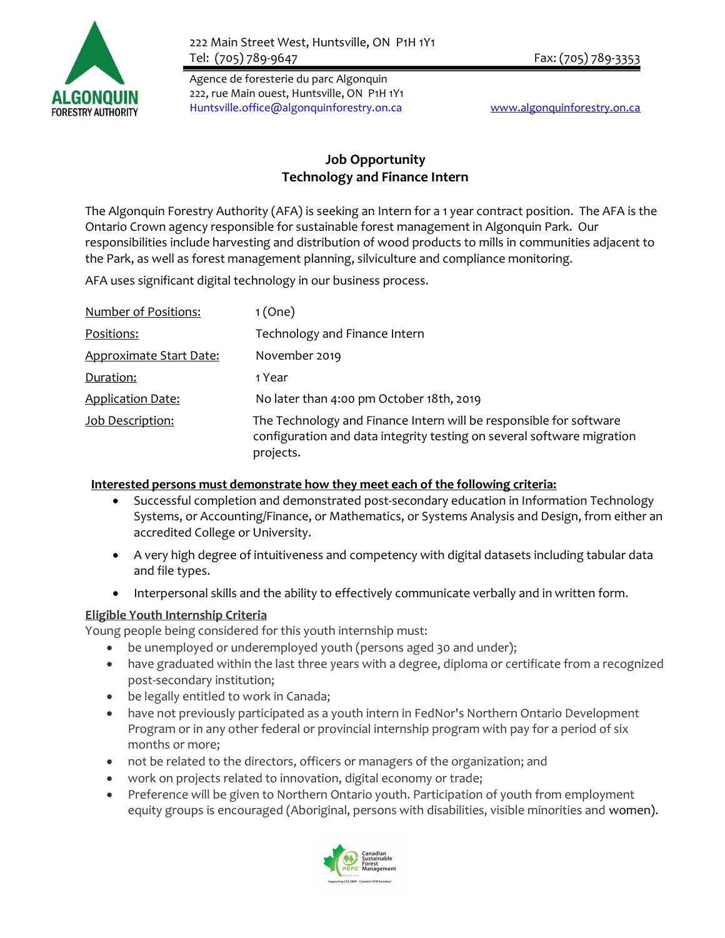

Agence de foresterie du parc Algonquin 222, rue Main ouest, Huntsville, ON P1H 1Y1 Huntsville.office@algonquinforestry.on.ca www.algonquinforestry.on.ca

## Job Opportunity Technology and Finance Intern

The Algonquin Forestry Authority (AFA) is seeking an Intern for a 1 year contract position. The AFA is the Ontario Crown agency responsible for sustainable forest management in Algonquin Park. Our responsibilities include harvesting and distribution of wood products to mills in communities adjacent to the Park, as well as forest management planning, silviculture and compliance monitoring.

AFA uses significant digital technology in our business process.

| <b>Number of Positions:</b>    | 1(One)                                                                                                                                                    |
|--------------------------------|-----------------------------------------------------------------------------------------------------------------------------------------------------------|
| Positions:                     | Technology and Finance Intern                                                                                                                             |
| <b>Approximate Start Date:</b> | November 2019                                                                                                                                             |
| Duration:                      | 1 Year                                                                                                                                                    |
| <b>Application Date:</b>       | No later than 4:00 pm October 18th, 2019                                                                                                                  |
| Job Description:               | The Technology and Finance Intern will be responsible for software<br>configuration and data integrity testing on several software migration<br>projects. |

## Interested persons must demonstrate how they meet each of the following criteria:

- Successful completion and demonstrated post-secondary education in Information Technology Systems, or Accounting/Finance, or Mathematics, or Systems Analysis and Design, from either an accredited College or University.
- A very high degree of intuitiveness and competency with digital datasets including tabular data and file types.
- Interpersonal skills and the ability to effectively communicate verbally and in written form.

## Eligible Youth Internship Criteria

Young people being considered for this youth internship must:

- be unemployed or underemployed youth (persons aged 30 and under);
- have graduated within the last three years with a degree, diploma or certificate from a recognized post-secondary institution;
- be legally entitled to work in Canada;
- have not previously participated as a youth intern in FedNor's Northern Ontario Development Program or in any other federal or provincial internship program with pay for a period of six months or more;
- not be related to the directors, officers or managers of the organization; and
- work on projects related to innovation, digital economy or trade;
- Preference will be given to Northern Ontario youth. Participation of youth from employment equity groups is encouraged (Aboriginal, persons with disabilities, visible minorities and women).